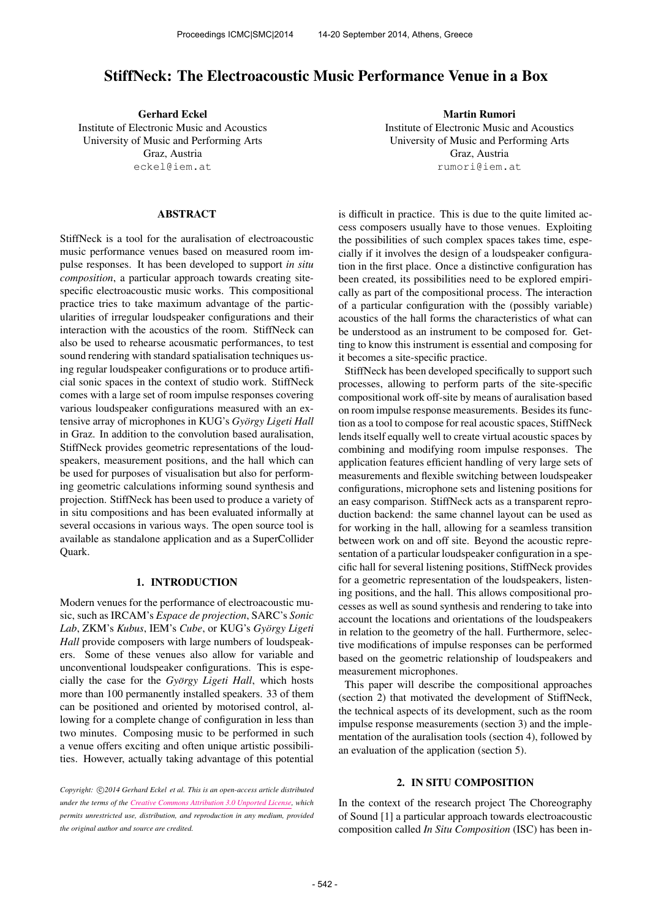# StiffNeck: The Electroacoustic Music Performance Venue in a Box

Gerhard Eckel Institute of Electronic Music and Acoustics University of Music and Performing Arts Graz, Austria [eckel@iem.at](mailto:eckel@iem.at)

### ABSTRACT

StiffNeck is a tool for the auralisation of electroacoustic music performance venues based on measured room impulse responses. It has been developed to support *in situ composition*, a particular approach towards creating sitespecific electroacoustic music works. This compositional practice tries to take maximum advantage of the particularities of irregular loudspeaker configurations and their interaction with the acoustics of the room. StiffNeck can also be used to rehearse acousmatic performances, to test sound rendering with standard spatialisation techniques using regular loudspeaker configurations or to produce artificial sonic spaces in the context of studio work. StiffNeck comes with a large set of room impulse responses covering various loudspeaker configurations measured with an extensive array of microphones in KUG's *Gyorgy Ligeti Hall ¨* in Graz. In addition to the convolution based auralisation, StiffNeck provides geometric representations of the loudspeakers, measurement positions, and the hall which can be used for purposes of visualisation but also for performing geometric calculations informing sound synthesis and projection. StiffNeck has been used to produce a variety of in situ compositions and has been evaluated informally at several occasions in various ways. The open source tool is available as standalone application and as a SuperCollider Quark.

# 1. INTRODUCTION

Modern venues for the performance of electroacoustic music, such as IRCAM's *Espace de projection*, SARC's *Sonic Lab*, ZKM's *Kubus*, IEM's *Cube*, or KUG's *Gyorgy Ligeti ¨ Hall* provide composers with large numbers of loudspeakers. Some of these venues also allow for variable and unconventional loudspeaker configurations. This is especially the case for the *György Ligeti Hall*, which hosts more than 100 permanently installed speakers. 33 of them can be positioned and oriented by motorised control, allowing for a complete change of configuration in less than two minutes. Composing music to be performed in such a venue offers exciting and often unique artistic possibilities. However, actually taking advantage of this potential

Copyright:  $\bigcirc$ 2014 Gerhard Eckel et al. This is an open-access article distributed *under the terms of the [Creative Commons Attribution 3.0 Unported License,](http://creativecommons.org/licenses/by/3.0/) which permits unrestricted use, distribution, and reproduction in any medium, provided the original author and source are credited.*

Martin Rumori Institute of Electronic Music and Acoustics University of Music and Performing Arts Graz, Austria [rumori@iem.at](mailto:rumori@iem.at)

is difficult in practice. This is due to the quite limited access composers usually have to those venues. Exploiting the possibilities of such complex spaces takes time, especially if it involves the design of a loudspeaker configuration in the first place. Once a distinctive configuration has been created, its possibilities need to be explored empirically as part of the compositional process. The interaction of a particular configuration with the (possibly variable) acoustics of the hall forms the characteristics of what can be understood as an instrument to be composed for. Getting to know this instrument is essential and composing for it becomes a site-specific practice.

StiffNeck has been developed specifically to support such processes, allowing to perform parts of the site-specific compositional work off-site by means of auralisation based on room impulse response measurements. Besides its function as a tool to compose for real acoustic spaces, StiffNeck lends itself equally well to create virtual acoustic spaces by combining and modifying room impulse responses. The application features efficient handling of very large sets of measurements and flexible switching between loudspeaker configurations, microphone sets and listening positions for an easy comparison. StiffNeck acts as a transparent reproduction backend: the same channel layout can be used as for working in the hall, allowing for a seamless transition between work on and off site. Beyond the acoustic representation of a particular loudspeaker configuration in a specific hall for several listening positions, StiffNeck provides for a geometric representation of the loudspeakers, listening positions, and the hall. This allows compositional processes as well as sound synthesis and rendering to take into account the locations and orientations of the loudspeakers in relation to the geometry of the hall. Furthermore, selective modifications of impulse responses can be performed based on the geometric relationship of loudspeakers and measurement microphones.

This paper will describe the compositional approaches (section 2) that motivated the development of StiffNeck, the technical aspects of its development, such as the room impulse response measurements (section 3) and the implementation of the auralisation tools (section 4), followed by an evaluation of the application (section 5).

#### 2. IN SITU COMPOSITION

In the context of the research project The Choreography of Sound [1] a particular approach towards electroacoustic composition called *In Situ Composition* (ISC) has been in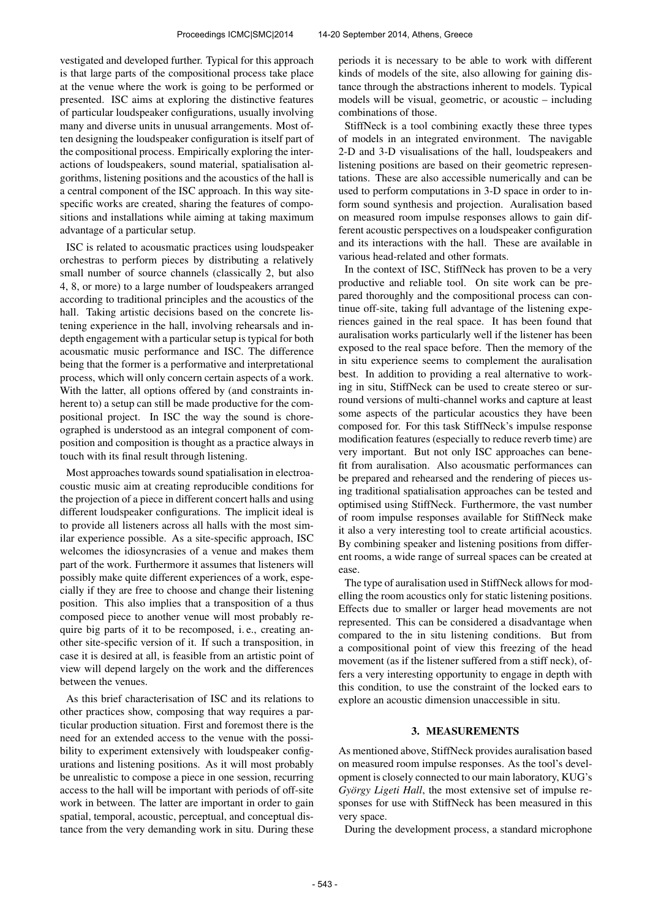vestigated and developed further. Typical for this approach is that large parts of the compositional process take place at the venue where the work is going to be performed or presented. ISC aims at exploring the distinctive features of particular loudspeaker configurations, usually involving many and diverse units in unusual arrangements. Most often designing the loudspeaker configuration is itself part of the compositional process. Empirically exploring the interactions of loudspeakers, sound material, spatialisation algorithms, listening positions and the acoustics of the hall is a central component of the ISC approach. In this way sitespecific works are created, sharing the features of compositions and installations while aiming at taking maximum advantage of a particular setup.

ISC is related to acousmatic practices using loudspeaker orchestras to perform pieces by distributing a relatively small number of source channels (classically 2, but also 4, 8, or more) to a large number of loudspeakers arranged according to traditional principles and the acoustics of the hall. Taking artistic decisions based on the concrete listening experience in the hall, involving rehearsals and indepth engagement with a particular setup is typical for both acousmatic music performance and ISC. The difference being that the former is a performative and interpretational process, which will only concern certain aspects of a work. With the latter, all options offered by (and constraints inherent to) a setup can still be made productive for the compositional project. In ISC the way the sound is choreographed is understood as an integral component of composition and composition is thought as a practice always in touch with its final result through listening.

Most approaches towards sound spatialisation in electroacoustic music aim at creating reproducible conditions for the projection of a piece in different concert halls and using different loudspeaker configurations. The implicit ideal is to provide all listeners across all halls with the most similar experience possible. As a site-specific approach, ISC welcomes the idiosyncrasies of a venue and makes them part of the work. Furthermore it assumes that listeners will possibly make quite different experiences of a work, especially if they are free to choose and change their listening position. This also implies that a transposition of a thus composed piece to another venue will most probably require big parts of it to be recomposed, i. e., creating another site-specific version of it. If such a transposition, in case it is desired at all, is feasible from an artistic point of view will depend largely on the work and the differences between the venues.

As this brief characterisation of ISC and its relations to other practices show, composing that way requires a particular production situation. First and foremost there is the need for an extended access to the venue with the possibility to experiment extensively with loudspeaker configurations and listening positions. As it will most probably be unrealistic to compose a piece in one session, recurring access to the hall will be important with periods of off-site work in between. The latter are important in order to gain spatial, temporal, acoustic, perceptual, and conceptual distance from the very demanding work in situ. During these periods it is necessary to be able to work with different kinds of models of the site, also allowing for gaining distance through the abstractions inherent to models. Typical models will be visual, geometric, or acoustic – including combinations of those.

StiffNeck is a tool combining exactly these three types of models in an integrated environment. The navigable 2-D and 3-D visualisations of the hall, loudspeakers and listening positions are based on their geometric representations. These are also accessible numerically and can be used to perform computations in 3-D space in order to inform sound synthesis and projection. Auralisation based on measured room impulse responses allows to gain different acoustic perspectives on a loudspeaker configuration and its interactions with the hall. These are available in various head-related and other formats.

In the context of ISC, StiffNeck has proven to be a very productive and reliable tool. On site work can be prepared thoroughly and the compositional process can continue off-site, taking full advantage of the listening experiences gained in the real space. It has been found that auralisation works particularly well if the listener has been exposed to the real space before. Then the memory of the in situ experience seems to complement the auralisation best. In addition to providing a real alternative to working in situ, StiffNeck can be used to create stereo or surround versions of multi-channel works and capture at least some aspects of the particular acoustics they have been composed for. For this task StiffNeck's impulse response modification features (especially to reduce reverb time) are very important. But not only ISC approaches can benefit from auralisation. Also acousmatic performances can be prepared and rehearsed and the rendering of pieces using traditional spatialisation approaches can be tested and optimised using StiffNeck. Furthermore, the vast number of room impulse responses available for StiffNeck make it also a very interesting tool to create artificial acoustics. By combining speaker and listening positions from different rooms, a wide range of surreal spaces can be created at ease.

The type of auralisation used in StiffNeck allows for modelling the room acoustics only for static listening positions. Effects due to smaller or larger head movements are not represented. This can be considered a disadvantage when compared to the in situ listening conditions. But from a compositional point of view this freezing of the head movement (as if the listener suffered from a stiff neck), offers a very interesting opportunity to engage in depth with this condition, to use the constraint of the locked ears to explore an acoustic dimension unaccessible in situ.

#### 3. MEASUREMENTS

As mentioned above, StiffNeck provides auralisation based on measured room impulse responses. As the tool's development is closely connected to our main laboratory, KUG's *György Ligeti Hall*, the most extensive set of impulse responses for use with StiffNeck has been measured in this very space.

During the development process, a standard microphone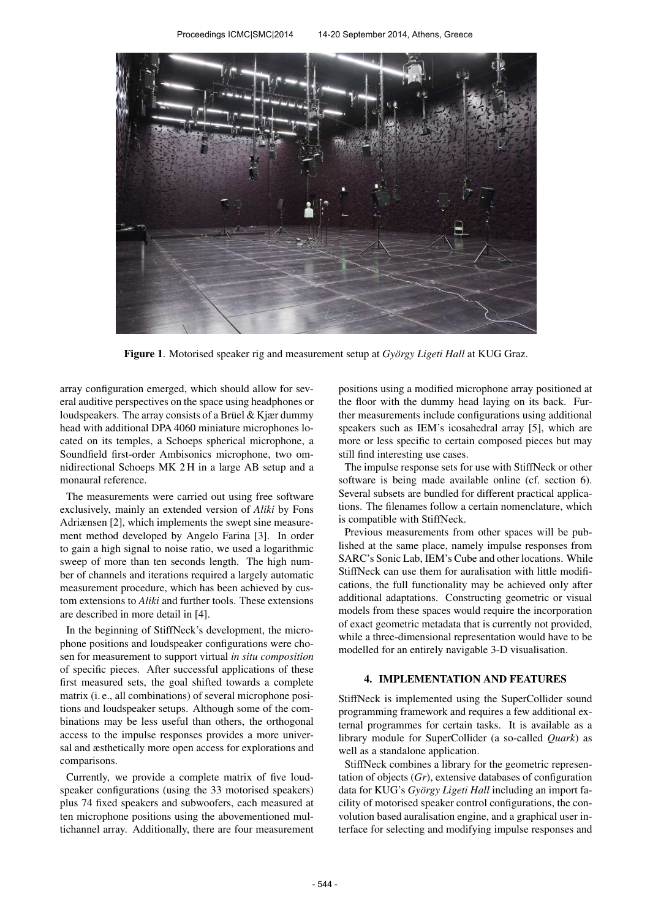

Figure 1. Motorised speaker rig and measurement setup at *György Ligeti Hall* at KUG Graz.

array configuration emerged, which should allow for several auditive perspectives on the space using headphones or loudspeakers. The array consists of a Brüel  $&$  Kjær dummy head with additional DPA 4060 miniature microphones located on its temples, a Schoeps spherical microphone, a Soundfield first-order Ambisonics microphone, two omnidirectional Schoeps MK 2 H in a large AB setup and a monaural reference.

The measurements were carried out using free software exclusively, mainly an extended version of *Aliki* by Fons Adriænsen [2], which implements the swept sine measurement method developed by Angelo Farina [3]. In order to gain a high signal to noise ratio, we used a logarithmic sweep of more than ten seconds length. The high number of channels and iterations required a largely automatic measurement procedure, which has been achieved by custom extensions to *Aliki* and further tools. These extensions are described in more detail in [4].

In the beginning of StiffNeck's development, the microphone positions and loudspeaker configurations were chosen for measurement to support virtual *in situ composition* of specific pieces. After successful applications of these first measured sets, the goal shifted towards a complete matrix (i. e., all combinations) of several microphone positions and loudspeaker setups. Although some of the combinations may be less useful than others, the orthogonal access to the impulse responses provides a more universal and æsthetically more open access for explorations and comparisons.

Currently, we provide a complete matrix of five loudspeaker configurations (using the 33 motorised speakers) plus 74 fixed speakers and subwoofers, each measured at ten microphone positions using the abovementioned multichannel array. Additionally, there are four measurement positions using a modified microphone array positioned at the floor with the dummy head laying on its back. Further measurements include configurations using additional speakers such as IEM's icosahedral array [5], which are more or less specific to certain composed pieces but may still find interesting use cases.

The impulse response sets for use with StiffNeck or other software is being made available online (cf. section 6). Several subsets are bundled for different practical applications. The filenames follow a certain nomenclature, which is compatible with StiffNeck.

Previous measurements from other spaces will be published at the same place, namely impulse responses from SARC's Sonic Lab, IEM's Cube and other locations. While StiffNeck can use them for auralisation with little modifications, the full functionality may be achieved only after additional adaptations. Constructing geometric or visual models from these spaces would require the incorporation of exact geometric metadata that is currently not provided, while a three-dimensional representation would have to be modelled for an entirely navigable 3-D visualisation.

# 4. IMPLEMENTATION AND FEATURES

StiffNeck is implemented using the SuperCollider sound programming framework and requires a few additional external programmes for certain tasks. It is available as a library module for SuperCollider (a so-called *Quark*) as well as a standalone application.

StiffNeck combines a library for the geometric representation of objects (*Gr*), extensive databases of configuration data for KUG's György Ligeti Hall including an import facility of motorised speaker control configurations, the convolution based auralisation engine, and a graphical user interface for selecting and modifying impulse responses and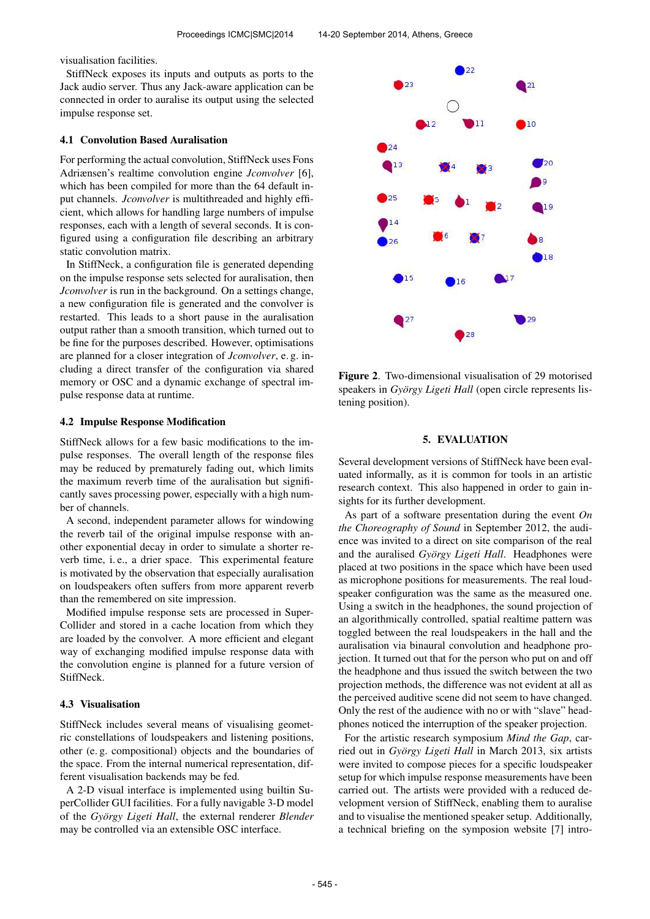visualisation facilities.

StiffNeck exposes its inputs and outputs as ports to the Jack audio server. Thus any Jack-aware application can be connected in order to auralise its output using the selected impulse response set.

## 4.1 Convolution Based Auralisation

For performing the actual convolution, StiffNeck uses Fons Adriænsen's realtime convolution engine *Jconvolver* [6], which has been compiled for more than the 64 default input channels. *Jconvolver* is multithreaded and highly efficient, which allows for handling large numbers of impulse responses, each with a length of several seconds. It is configured using a configuration file describing an arbitrary static convolution matrix.

In StiffNeck, a configuration file is generated depending on the impulse response sets selected for auralisation, then *Jconvolver* is run in the background. On a settings change, a new configuration file is generated and the convolver is restarted. This leads to a short pause in the auralisation output rather than a smooth transition, which turned out to be fine for the purposes described. However, optimisations are planned for a closer integration of *Jconvolver*, e. g. including a direct transfer of the configuration via shared memory or OSC and a dynamic exchange of spectral impulse response data at runtime.

## 4.2 Impulse Response Modification

StiffNeck allows for a few basic modifications to the impulse responses. The overall length of the response files may be reduced by prematurely fading out, which limits the maximum reverb time of the auralisation but significantly saves processing power, especially with a high number of channels.

A second, independent parameter allows for windowing the reverb tail of the original impulse response with another exponential decay in order to simulate a shorter reverb time, i. e., a drier space. This experimental feature is motivated by the observation that especially auralisation on loudspeakers often suffers from more apparent reverb than the remembered on site impression.

Modified impulse response sets are processed in Super-Collider and stored in a cache location from which they are loaded by the convolver. A more efficient and elegant way of exchanging modified impulse response data with the convolution engine is planned for a future version of StiffNeck.

#### 4.3 Visualisation

StiffNeck includes several means of visualising geometric constellations of loudspeakers and listening positions, other (e. g. compositional) objects and the boundaries of the space. From the internal numerical representation, different visualisation backends may be fed.

A 2-D visual interface is implemented using builtin SuperCollider GUI facilities. For a fully navigable 3-D model of the *Gyorgy Ligeti Hall ¨* , the external renderer *Blender* may be controlled via an extensible OSC interface.



Figure 2. Two-dimensional visualisation of 29 motorised speakers in *György Ligeti Hall* (open circle represents listening position).

## 5. EVALUATION

Several development versions of StiffNeck have been evaluated informally, as it is common for tools in an artistic research context. This also happened in order to gain insights for its further development.

As part of a software presentation during the event *On the Choreography of Sound* in September 2012, the audience was invited to a direct on site comparison of the real and the auralised *György Ligeti Hall*. Headphones were placed at two positions in the space which have been used as microphone positions for measurements. The real loudspeaker configuration was the same as the measured one. Using a switch in the headphones, the sound projection of an algorithmically controlled, spatial realtime pattern was toggled between the real loudspeakers in the hall and the auralisation via binaural convolution and headphone projection. It turned out that for the person who put on and off the headphone and thus issued the switch between the two projection methods, the difference was not evident at all as the perceived auditive scene did not seem to have changed. Only the rest of the audience with no or with "slave" headphones noticed the interruption of the speaker projection.

For the artistic research symposium *Mind the Gap*, carried out in *György Ligeti Hall* in March 2013, six artists were invited to compose pieces for a specific loudspeaker setup for which impulse response measurements have been carried out. The artists were provided with a reduced development version of StiffNeck, enabling them to auralise and to visualise the mentioned speaker setup. Additionally, a technical briefing on the symposion website [7] intro-